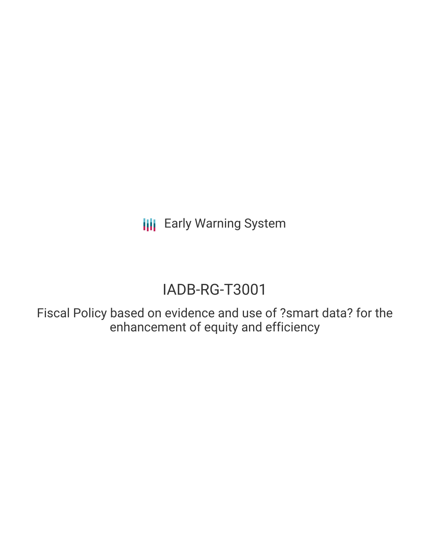**III** Early Warning System

# IADB-RG-T3001

Fiscal Policy based on evidence and use of ?smart data? for the enhancement of equity and efficiency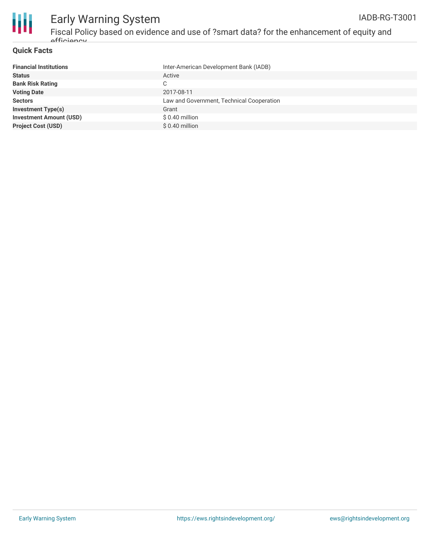

#### **Quick Facts**

| <b>Financial Institutions</b>  | Inter-American Development Bank (IADB)    |
|--------------------------------|-------------------------------------------|
| <b>Status</b>                  | Active                                    |
| <b>Bank Risk Rating</b>        | С                                         |
| <b>Voting Date</b>             | 2017-08-11                                |
| <b>Sectors</b>                 | Law and Government, Technical Cooperation |
| <b>Investment Type(s)</b>      | Grant                                     |
| <b>Investment Amount (USD)</b> | $$0.40$ million                           |
| <b>Project Cost (USD)</b>      | $$0.40$ million                           |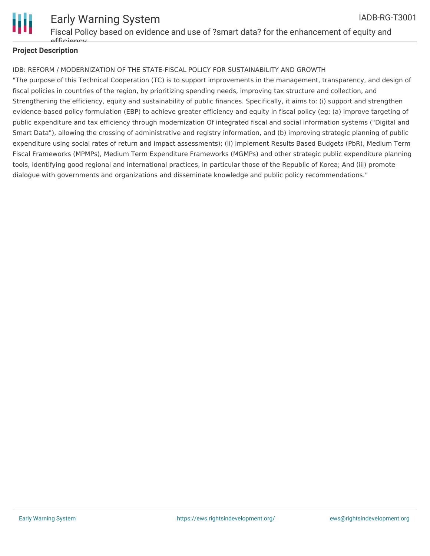

#### **Project Description**

#### IDB: REFORM / MODERNIZATION OF THE STATE-FISCAL POLICY FOR SUSTAINABILITY AND GROWTH

"The purpose of this Technical Cooperation (TC) is to support improvements in the management, transparency, and design of fiscal policies in countries of the region, by prioritizing spending needs, improving tax structure and collection, and Strengthening the efficiency, equity and sustainability of public finances. Specifically, it aims to: (i) support and strengthen evidence-based policy formulation (EBP) to achieve greater efficiency and equity in fiscal policy (eg: (a) improve targeting of public expenditure and tax efficiency through modernization Of integrated fiscal and social information systems ("Digital and Smart Data"), allowing the crossing of administrative and registry information, and (b) improving strategic planning of public expenditure using social rates of return and impact assessments); (ii) implement Results Based Budgets (PbR), Medium Term Fiscal Frameworks (MPMPs), Medium Term Expenditure Frameworks (MGMPs) and other strategic public expenditure planning tools, identifying good regional and international practices, in particular those of the Republic of Korea; And (iii) promote dialogue with governments and organizations and disseminate knowledge and public policy recommendations."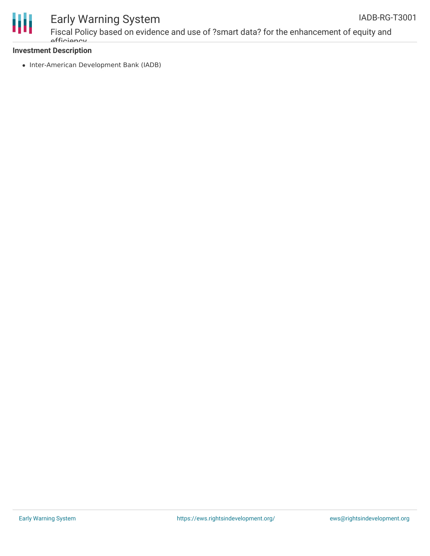

## Early Warning System

#### **Investment Description**

• Inter-American Development Bank (IADB)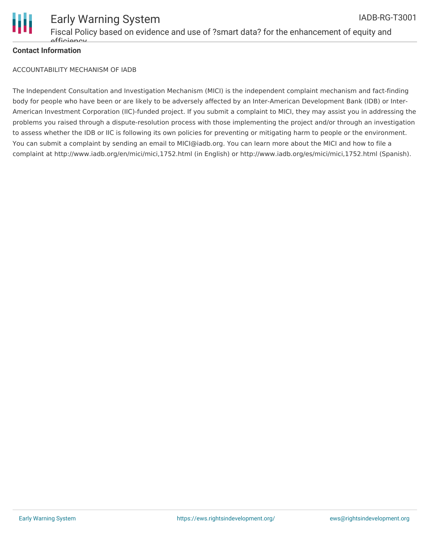

#### **Contact Information**

ACCOUNTABILITY MECHANISM OF IADB

The Independent Consultation and Investigation Mechanism (MICI) is the independent complaint mechanism and fact-finding body for people who have been or are likely to be adversely affected by an Inter-American Development Bank (IDB) or Inter-American Investment Corporation (IIC)-funded project. If you submit a complaint to MICI, they may assist you in addressing the problems you raised through a dispute-resolution process with those implementing the project and/or through an investigation to assess whether the IDB or IIC is following its own policies for preventing or mitigating harm to people or the environment. You can submit a complaint by sending an email to MICI@iadb.org. You can learn more about the MICI and how to file a complaint at http://www.iadb.org/en/mici/mici,1752.html (in English) or http://www.iadb.org/es/mici/mici,1752.html (Spanish).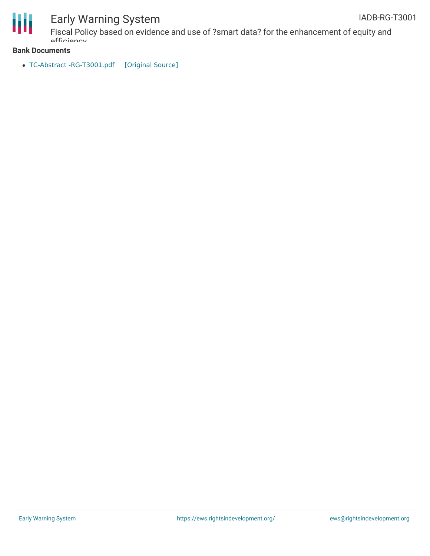

## Early Warning System

#### **Bank Documents**

officiancy

• TC-Abstract [-RG-T3001.pdf](https://ewsdata.rightsindevelopment.org/files/documents/01/IADB-RG-T3001.pdf) [\[Original](http://www.iadb.org/Document.cfm?id=EZSHARE-1895929374-9) Source]